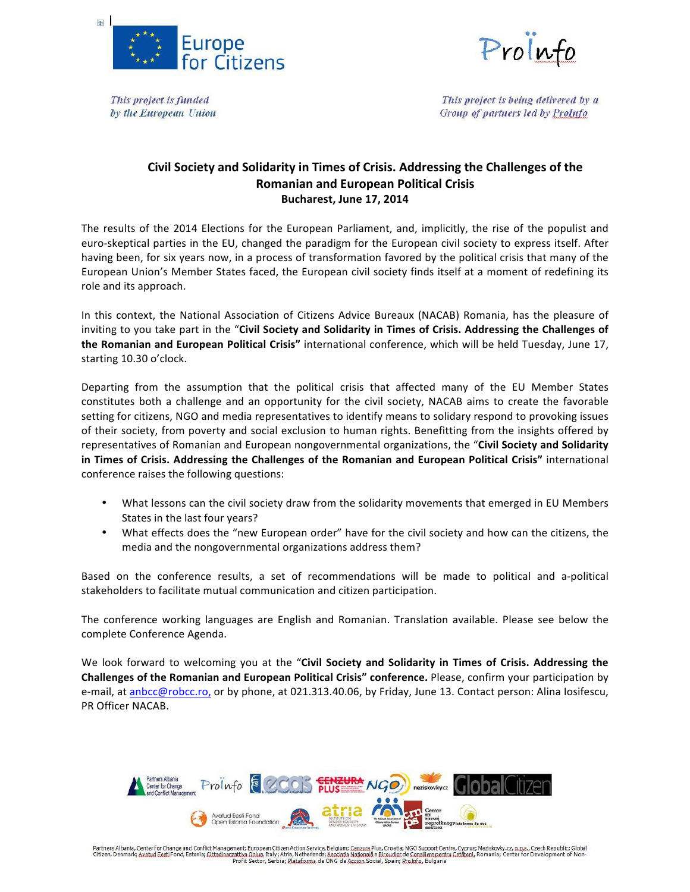



This project is funded by the European Union

This project is being delivered by a Group of partners led by ProInfo

## Civil Society and Solidarity in Times of Crisis. Addressing the Challenges of the **Romanian and European Political Crisis Bucharest, June 17, 2014**

The results of the 2014 Elections for the European Parliament, and, implicitly, the rise of the populist and euro-skeptical parties in the EU, changed the paradigm for the European civil society to express itself. After having been, for six years now, in a process of transformation favored by the political crisis that many of the European Union's Member States faced, the European civil society finds itself at a moment of redefining its role and its approach.

In this context, the National Association of Citizens Advice Bureaux (NACAB) Romania, has the pleasure of inviting to you take part in the "Civil Society and Solidarity in Times of Crisis. Addressing the Challenges of the Romanian and European Political Crisis" international conference, which will be held Tuesday, June 17, starting 10.30 o'clock.

Departing from the assumption that the political crisis that affected many of the EU Member States constitutes both a challenge and an opportunity for the civil society, NACAB aims to create the favorable setting for citizens, NGO and media representatives to identify means to solidary respond to provoking issues of their society, from poverty and social exclusion to human rights. Benefitting from the insights offered by representatives of Romanian and European nongovernmental organizations, the "Civil Society and Solidarity in Times of Crisis. Addressing the Challenges of the Romanian and European Political Crisis" international conference raises the following questions:

- What lessons can the civil society draw from the solidarity movements that emerged in EU Members States in the last four years?
- What effects does the "new European order" have for the civil society and how can the citizens, the media and the nongovernmental organizations address them?

Based on the conference results, a set of recommendations will be made to political and a-political stakeholders to facilitate mutual communication and citizen participation.

The conference working languages are English and Romanian. Translation available. Please see below the complete Conference Agenda.

We look forward to welcoming you at the "Civil Society and Solidarity in Times of Crisis. Addressing the **Challenges of the Romanian and European Political Crisis" conference.** Please, confirm your participation by e-mail, at anbcc@robcc.ro, or by phone, at 021.313.40.06, by Friday, June 13. Contact person: Alina losifescu, PR Officer NACAB.



Partners Albania, Center for Change and Conflict Management; European Citizen Action Service, Belgium; Cenzura Plus, Croatia; NGO Support Centre, Cyprus; Neziskovky.cz, p.p.s., Czech Republic; Global<br>Citizen, Denmark; Avat Profit Sector, Serbia; Plataforma de ONG de Accion Social, Spain; ProInfo, Bulgaria